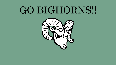GBC IAC Meeting Minutes May 16, 2019 Page 14

## GO BIGHORNS!!